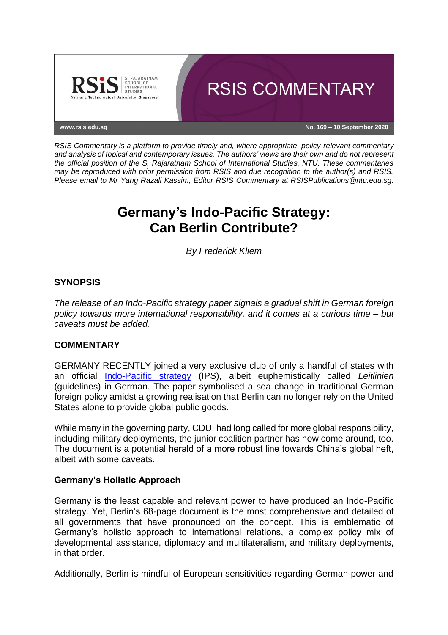

*RSIS Commentary is a platform to provide timely and, where appropriate, policy-relevant commentary and analysis of topical and contemporary issues. The authors' views are their own and do not represent the official position of the S. Rajaratnam School of International Studies, NTU. These commentaries may be reproduced with prior permission from RSIS and due recognition to the author(s) and RSIS. Please email to Mr Yang Razali Kassim, Editor RSIS Commentary at RSISPublications@ntu.edu.sg.*

# **Germany's Indo-Pacific Strategy: Can Berlin Contribute?**

*By Frederick Kliem*

# **SYNOPSIS**

*The release of an Indo-Pacific strategy paper signals a gradual shift in German foreign policy towards more international responsibility, and it comes at a curious time – but caveats must be added.*

## **COMMENTARY**

GERMANY RECENTLY joined a very exclusive club of only a handful of states with an official [Indo-Pacific strategy](https://www.auswaertiges-amt.de/blob/2380514/35e5c739e1c9a5c52b6469cfd1ffc72d/200901-indo-pazifik-leitlinien--1--data.pdf) (IPS), albeit euphemistically called *Leitlinien* (guidelines) in German. The paper symbolised a sea change in traditional German foreign policy amidst a growing realisation that Berlin can no longer rely on the United States alone to provide global public goods.

While many in the governing party, CDU, had long called for more global responsibility, including military deployments, the junior coalition partner has now come around, too. The document is a potential herald of a more robust line towards China's global heft, albeit with some caveats.

## **Germany's Holistic Approach**

Germany is the least capable and relevant power to have produced an Indo-Pacific strategy. Yet, Berlin's 68-page document is the most comprehensive and detailed of all governments that have pronounced on the concept. This is emblematic of Germany's holistic approach to international relations, a complex policy mix of developmental assistance, diplomacy and multilateralism, and military deployments, in that order.

Additionally, Berlin is mindful of European sensitivities regarding German power and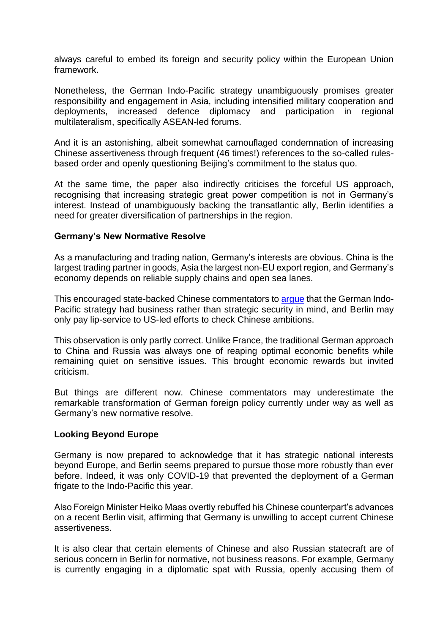always careful to embed its foreign and security policy within the European Union framework.

Nonetheless, the German Indo-Pacific strategy unambiguously promises greater responsibility and engagement in Asia, including intensified military cooperation and deployments, increased defence diplomacy and participation in regional multilateralism, specifically ASEAN-led forums.

And it is an astonishing, albeit somewhat camouflaged condemnation of increasing Chinese assertiveness through frequent (46 times!) references to the so-called rulesbased order and openly questioning Beijing's commitment to the status quo.

At the same time, the paper also indirectly criticises the forceful US approach, recognising that increasing strategic great power competition is not in Germany's interest. Instead of unambiguously backing the transatlantic ally, Berlin identifies a need for greater diversification of partnerships in the region.

#### **Germany's New Normative Resolve**

As a manufacturing and trading nation, Germany's interests are obvious. China is the largest trading partner in goods, Asia the largest non-EU export region, and Germany's economy depends on reliable supply chains and open sea lanes.

This encouraged state-backed Chinese commentators to [argue](https://www.globaltimes.cn/content/1199869.shtml) that the German Indo-Pacific strategy had business rather than strategic security in mind, and Berlin may only pay lip-service to US-led efforts to check Chinese ambitions.

This observation is only partly correct. Unlike France, the traditional German approach to China and Russia was always one of reaping optimal economic benefits while remaining quiet on sensitive issues. This brought economic rewards but invited criticism.

But things are different now. Chinese commentators may underestimate the remarkable transformation of German foreign policy currently under way as well as Germany's new normative resolve.

## **Looking Beyond Europe**

Germany is now prepared to acknowledge that it has strategic national interests beyond Europe, and Berlin seems prepared to pursue those more robustly than ever before. Indeed, it was only COVID-19 that prevented the deployment of a German frigate to the Indo-Pacific this year.

Also Foreign Minister Heiko Maas overtly rebuffed his Chinese counterpart's advances on a recent Berlin visit, affirming that Germany is unwilling to accept current Chinese assertiveness.

It is also clear that certain elements of Chinese and also Russian statecraft are of serious concern in Berlin for normative, not business reasons. For example, Germany is currently engaging in a diplomatic spat with Russia, openly accusing them of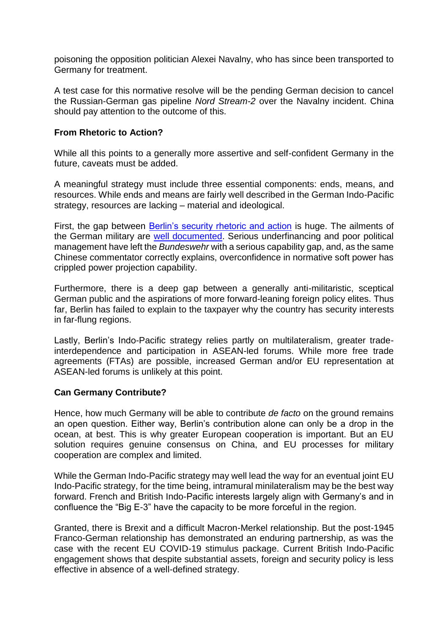poisoning the opposition politician Alexei Navalny, who has since been transported to Germany for treatment.

A test case for this normative resolve will be the pending German decision to cancel the Russian-German gas pipeline *Nord Stream-2* over the Navalny incident. China should pay attention to the outcome of this.

## **From Rhetoric to Action?**

While all this points to a generally more assertive and self-confident Germany in the future, caveats must be added.

A meaningful strategy must include three essential components: ends, means, and resources. While ends and means are fairly well described in the German Indo-Pacific strategy, resources are lacking – material and ideological.

First, the gap between [Berlin's security rhetoric and action](https://www.rsis.edu.sg/rsis-publication/cms/germany-in-the-indo-pacific-new-security-actor/#.X1M1ty2w3jA) is huge. The ailments of the German military are [well documented.](https://www.politico.eu/article/germany-biggest-enemy-threadbare-army-bundeswehr/) Serious underfinancing and poor political management have left the *Bundeswehr* with a serious capability gap, and, as the same Chinese commentator correctly explains, overconfidence in normative soft power has crippled power projection capability.

Furthermore, there is a deep gap between a generally anti-militaristic, sceptical German public and the aspirations of more forward-leaning foreign policy elites. Thus far, Berlin has failed to explain to the taxpayer why the country has security interests in far-flung regions.

Lastly, Berlin's Indo-Pacific strategy relies partly on multilateralism, greater tradeinterdependence and participation in ASEAN-led forums. While more free trade agreements (FTAs) are possible, increased German and/or EU representation at ASEAN-led forums is unlikely at this point.

## **Can Germany Contribute?**

Hence, how much Germany will be able to contribute *de facto* on the ground remains an open question. Either way, Berlin's contribution alone can only be a drop in the ocean, at best. This is why greater European cooperation is important. But an EU solution requires genuine consensus on China, and EU processes for military cooperation are complex and limited.

While the German Indo-Pacific strategy may well lead the way for an eventual joint EU Indo-Pacific strategy, for the time being, intramural minilateralism may be the best way forward. French and British Indo-Pacific interests largely align with Germany's and in confluence the "Big E-3" have the capacity to be more forceful in the region.

Granted, there is Brexit and a difficult Macron-Merkel relationship. But the post-1945 Franco-German relationship has demonstrated an enduring partnership, as was the case with the recent EU COVID-19 stimulus package. Current British Indo-Pacific engagement shows that despite substantial assets, foreign and security policy is less effective in absence of a well-defined strategy.